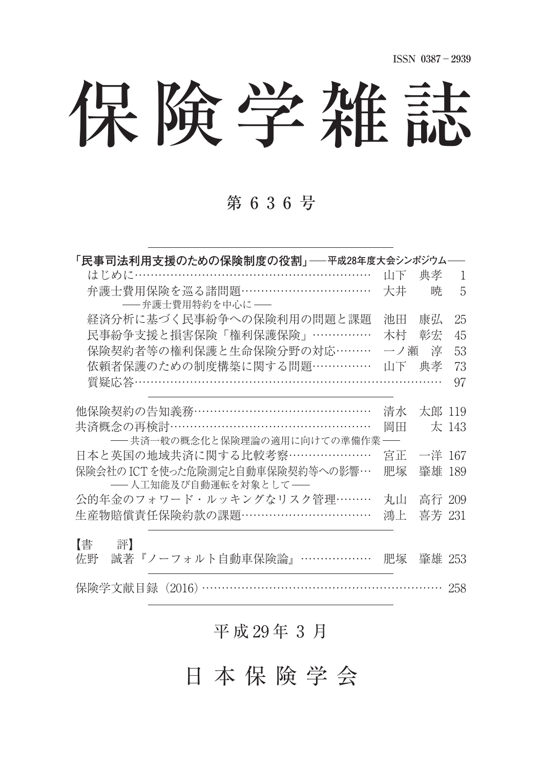保険学雑誌

## 第 6 3 6 号

| 「民事司法利用支援のための保険制度の役割」――平成28年度大会シンポジウム                   |     |        |       |
|---------------------------------------------------------|-----|--------|-------|
| はじめに……………………………………………………                                | 山下  | 典孝     | 1     |
| 弁護士費用保険を巡る諸問題……………………………<br>-- 弁護士費用特約を中心に --           | 大井  | 暁      | 5     |
| 経済分析に基づく民事紛争への保険利用の問題と課題                                | 池田  | 康弘     | 25    |
| 民事紛争支援と損害保険「権利保護保険」……………                                | 木村  | 彰宏     | 45    |
| 保険契約者等の権利保護と生命保険分野の対応………                                | 一ノ瀬 | 淳      | 53    |
| 依頼者保護のための制度構築に関する問題……………                                | 山下  | 典孝     | 73    |
| 質疑応答………………………………………………………………                            |     |        | 97    |
| 他保険契約の告知義務………………………………………                               | 清水  | 太郎 119 |       |
| 共済概念の再検討……………………………………………                               | 岡田  |        | 太 143 |
| ――共済一般の概念化と保険理論の適用に向けての準備作業-                            |     |        |       |
| 日本と英国の地域共済に関する比較考察…………………                               | 宮正  | 一洋 167 |       |
| 保険会社の ICTを使った危険測定と自動車保険契約等への影響…<br>-- 人工知能及び自動運転を対象として- | 肥塚  | 肇雄 189 |       |
| 公的年金のフォワード・ルッキングなリスク管理………                               | 丸山  | 高行 209 |       |
| 生産物賠償責任保険約款の課題……………………………                               | 鴻上  | 喜芳 231 |       |
| 【書<br>評】<br>誠著『ノーフォルト自動車保険論』………………<br>佐野                | 肥塚  | 肇雄 253 |       |
|                                                         |     |        |       |
| 保険学文献目録 (2016) ……………………………………………………                     |     |        | 258   |

# 平成 29年 3月

日 本 保 険 学 会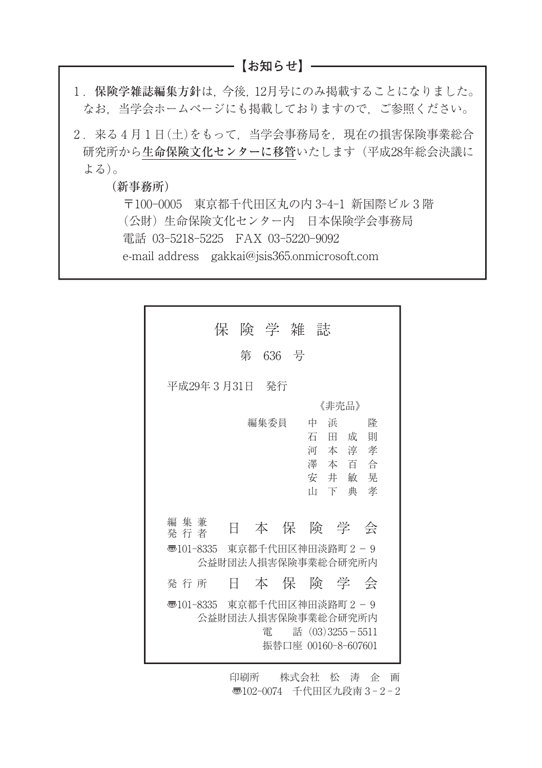**【お知らせ】**

- 1. 保険学雑誌編集方針は、今後、12月号にのみ掲載することになりました。 なお,当学会ホームページにも掲載しておりますので,ご参照ください。
- 2. 来る4月1日(土)をもって、当学会事務局を、現在の損害保険事業総合 研究所から生命保険文化センターに移管いたします(平成28年総会決議に よる)。

(新事務所)

〒100-0005 東京都千代田区丸の内 3-4-1 新国際ビル3階 (公財)生命保険文化センター内 日本保険学会事務局 電話 03-5218-5225 FAX 03-5220-9092 e-mail address gakkai@jsis365.onmicrosoft.com

|                         |   |   | 保 険 学 雑 誌 |                                                                                    |   |              |
|-------------------------|---|---|-----------|------------------------------------------------------------------------------------|---|--------------|
|                         |   | 第 | 636 号     |                                                                                    |   |              |
| 平成29年3月31日 発行           |   |   |           |                                                                                    |   |              |
|                         |   |   |           | 《非壳品》                                                                              |   |              |
|                         |   |   | 編集委員      | 中<br>浜<br>石<br>Ħ<br>河本淳孝<br>澤本百合<br>安井敏晃<br>山下典                                    | 成 | 降<br>一則<br>孝 |
| 編 集 兼<br>発 行 者          | E |   |           | 本保険学                                                                               |   | 会            |
| $\overline{3}$ 101-8335 |   |   |           | 東京都千代田区神田淡路町2-9<br>公益財団法人捐害保険事業総合研究所内                                              |   |              |
| 発 行 所                   | H |   |           | 本保険学会                                                                              |   |              |
| $\overline{3}$ 101-8335 |   |   | 雷         | 東京都千代田区神田淡路町2-9<br>公益財団法人損害保険事業総合研究所内<br>話 (03) 3255 - 5511<br>振替口座 00160-8-607601 |   |              |

印刷所 株式会社 松 涛 企 画 〠102-0074 千代田区九段南 3 - 2 - 2